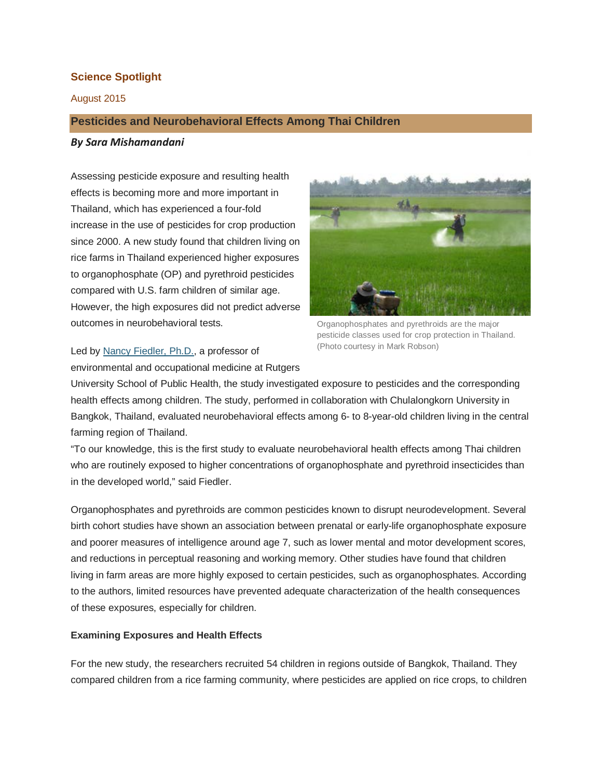# **Science Spotlight**

August 2015

## **Pesticides and Neurobehavioral Effects Among Thai Children**

#### *By Sara Mishamandani*

Assessing pesticide exposure and resulting health effects is becoming more and more important in Thailand, which has experienced a four-fold increase in the use of pesticides for crop production since 2000. A new study found that children living on rice farms in Thailand experienced higher exposures to organophosphate (OP) and pyrethroid pesticides compared with U.S. farm children of similar age. However, the high exposures did not predict adverse outcomes in neurobehavioral tests.



Organophosphates and pyrethroids are the major pesticide classes used for crop protection in Thailand. (Photo courtesy in Mark Robson)

Led by Nancy [Fiedler,](http://eohsi.rutgers.edu/eohsi-directory/name/nancy-fiedler) Ph.D., a professor of environmental and occupational medicine at Rutgers

University School of Public Health, the study investigated exposure to pesticides and the corresponding health effects among children. The study, performed in collaboration with Chulalongkorn University in Bangkok, Thailand, evaluated neurobehavioral effects among 6- to 8-year-old children living in the central farming region of Thailand.

"To our knowledge, this is the first study to evaluate neurobehavioral health effects among Thai children who are routinely exposed to higher concentrations of organophosphate and pyrethroid insecticides than in the developed world," said Fiedler.

Organophosphates and pyrethroids are common pesticides known to disrupt neurodevelopment. Several birth cohort studies have shown an association between prenatal or early-life organophosphate exposure and poorer measures of intelligence around age 7, such as lower mental and motor development scores, and reductions in perceptual reasoning and working memory. Other studies have found that children living in farm areas are more highly exposed to certain pesticides, such as organophosphates. According to the authors, limited resources have prevented adequate characterization of the health consequences of these exposures, especially for children.

### **Examining Exposures and Health Effects**

For the new study, the researchers recruited 54 children in regions outside of Bangkok, Thailand. They compared children from a rice farming community, where pesticides are applied on rice crops, to children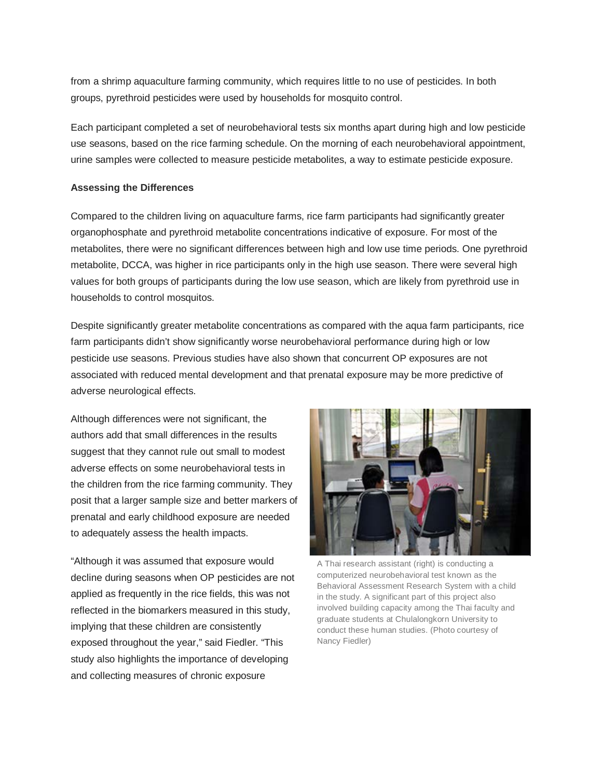from a shrimp aquaculture farming community, which requires little to no use of pesticides. In both groups, pyrethroid pesticides were used by households for mosquito control.

Each participant completed a set of neurobehavioral tests six months apart during high and low pesticide use seasons, based on the rice farming schedule. On the morning of each neurobehavioral appointment, urine samples were collected to measure pesticide metabolites, a way to estimate pesticide exposure.

#### **Assessing the Differences**

Compared to the children living on aquaculture farms, rice farm participants had significantly greater organophosphate and pyrethroid metabolite concentrations indicative of exposure. For most of the metabolites, there were no significant differences between high and low use time periods. One pyrethroid metabolite, DCCA, was higher in rice participants only in the high use season. There were several high values for both groups of participants during the low use season, which are likely from pyrethroid use in households to control mosquitos.

Despite significantly greater metabolite concentrations as compared with the aqua farm participants, rice farm participants didn't show significantly worse neurobehavioral performance during high or low pesticide use seasons. Previous studies have also shown that concurrent OP exposures are not associated with reduced mental development and that prenatal exposure may be more predictive of adverse neurological effects.

Although differences were not significant, the authors add that small differences in the results suggest that they cannot rule out small to modest adverse effects on some neurobehavioral tests in the children from the rice farming community. They posit that a larger sample size and better markers of prenatal and early childhood exposure are needed to adequately assess the health impacts.

"Although it was assumed that exposure would decline during seasons when OP pesticides are not applied as frequently in the rice fields, this was not reflected in the biomarkers measured in this study, implying that these children are consistently exposed throughout the year," said Fiedler. "This study also highlights the importance of developing and collecting measures of chronic exposure



A Thai research assistant (right) is conducting a computerized neurobehavioral test known as the Behavioral Assessment Research System with a child in the study. A significant part of this project also involved building capacity among the Thai faculty and graduate students at Chulalongkorn University to conduct these human studies. (Photo courtesy of Nancy Fiedler)